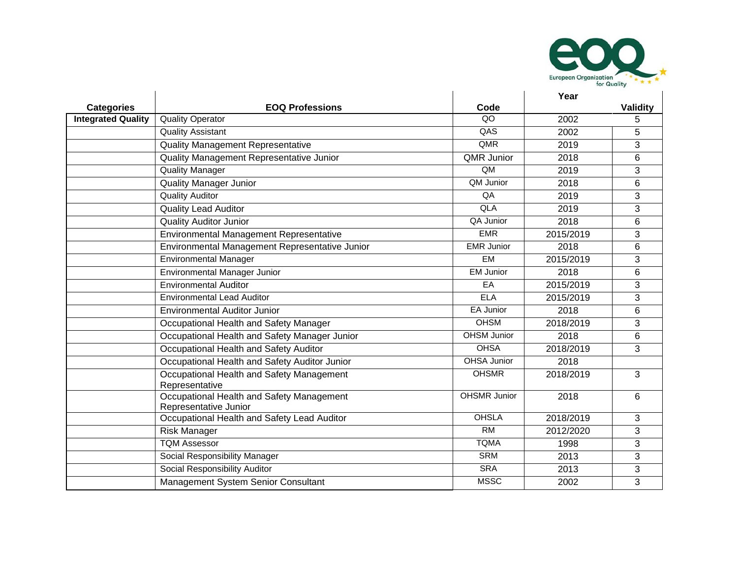

|                           |                                                                    |                     | Year      |                |
|---------------------------|--------------------------------------------------------------------|---------------------|-----------|----------------|
| <b>Categories</b>         | <b>EOQ Professions</b>                                             | Code                |           | Validity       |
| <b>Integrated Quality</b> | <b>Quality Operator</b>                                            | QO                  | 2002      | 5              |
|                           | <b>Quality Assistant</b>                                           | QAS                 | 2002      | 5              |
|                           | <b>Quality Management Representative</b>                           | QMR                 | 2019      | 3              |
|                           | Quality Management Representative Junior                           | <b>QMR Junior</b>   | 2018      | 6              |
|                           | <b>Quality Manager</b>                                             | QM                  | 2019      | 3              |
|                           | <b>Quality Manager Junior</b>                                      | QM Junior           | 2018      | 6              |
|                           | <b>Quality Auditor</b>                                             | QA                  | 2019      | 3              |
|                           | <b>Quality Lead Auditor</b>                                        | QLA                 | 2019      | 3              |
|                           | <b>Quality Auditor Junior</b>                                      | QA Junior           | 2018      | 6              |
|                           | Environmental Management Representative                            | <b>EMR</b>          | 2015/2019 | 3              |
|                           | Environmental Management Representative Junior                     | <b>EMR Junior</b>   | 2018      | 6              |
|                           | <b>Environmental Manager</b>                                       | EM                  | 2015/2019 | 3              |
|                           | Environmental Manager Junior                                       | <b>EM Junior</b>    | 2018      | 6              |
|                           | <b>Environmental Auditor</b>                                       | EA                  | 2015/2019 | 3              |
|                           | <b>Environmental Lead Auditor</b>                                  | <b>ELA</b>          | 2015/2019 | 3              |
|                           | <b>Environmental Auditor Junior</b>                                | <b>EA Junior</b>    | 2018      | 6              |
|                           | Occupational Health and Safety Manager                             | <b>OHSM</b>         | 2018/2019 | 3              |
|                           | Occupational Health and Safety Manager Junior                      | <b>OHSM Junior</b>  | 2018      | 6              |
|                           | Occupational Health and Safety Auditor                             | <b>OHSA</b>         | 2018/2019 | 3              |
|                           | Occupational Health and Safety Auditor Junior                      | <b>OHSA Junior</b>  | 2018      |                |
|                           | Occupational Health and Safety Management<br>Representative        | <b>OHSMR</b>        | 2018/2019 | $\overline{3}$ |
|                           | Occupational Health and Safety Management<br>Representative Junior | <b>OHSMR Junior</b> | 2018      | 6              |
|                           | Occupational Health and Safety Lead Auditor                        | <b>OHSLA</b>        | 2018/2019 | 3              |
|                           | <b>Risk Manager</b>                                                | $\overline{RM}$     | 2012/2020 | 3              |
|                           | <b>TQM Assessor</b>                                                | <b>TQMA</b>         | 1998      | 3              |
|                           | Social Responsibility Manager                                      | <b>SRM</b>          | 2013      | 3              |
|                           | Social Responsibility Auditor                                      | <b>SRA</b>          | 2013      | 3              |
|                           | Management System Senior Consultant                                | <b>MSSC</b>         | 2002      | $\overline{3}$ |